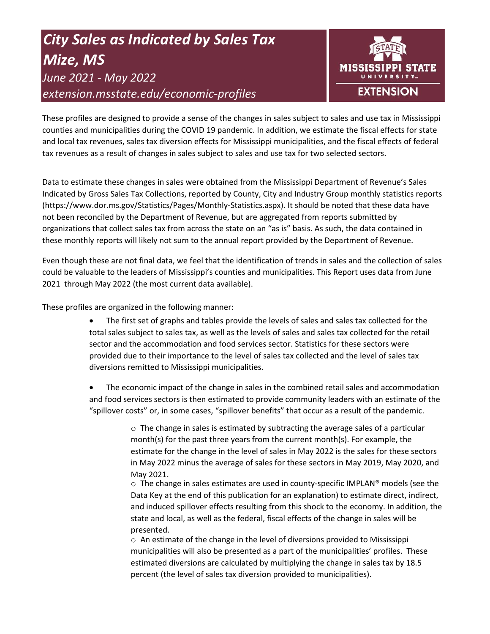# *City Sales as Indicated by Sales Tax Mize, MS June 2021 - May 2022 extension.msstate.edu/economic-profiles*



These profiles are designed to provide a sense of the changes in sales subject to sales and use tax in Mississippi counties and municipalities during the COVID 19 pandemic. In addition, we estimate the fiscal effects for state and local tax revenues, sales tax diversion effects for Mississippi municipalities, and the fiscal effects of federal tax revenues as a result of changes in sales subject to sales and use tax for two selected sectors.

Data to estimate these changes in sales were obtained from the Mississippi Department of Revenue's Sales Indicated by Gross Sales Tax Collections, reported by County, City and Industry Group monthly statistics reports (https://www.dor.ms.gov/Statistics/Pages/Monthly-Statistics.aspx). It should be noted that these data have not been reconciled by the Department of Revenue, but are aggregated from reports submitted by organizations that collect sales tax from across the state on an "as is" basis. As such, the data contained in these monthly reports will likely not sum to the annual report provided by the Department of Revenue.

Even though these are not final data, we feel that the identification of trends in sales and the collection of sales could be valuable to the leaders of Mississippi's counties and municipalities. This Report uses data from June 2021 through May 2022 (the most current data available).

These profiles are organized in the following manner:

- The first set of graphs and tables provide the levels of sales and sales tax collected for the total sales subject to sales tax, as well as the levels of sales and sales tax collected for the retail sector and the accommodation and food services sector. Statistics for these sectors were provided due to their importance to the level of sales tax collected and the level of sales tax diversions remitted to Mississippi municipalities.
- The economic impact of the change in sales in the combined retail sales and accommodation and food services sectors is then estimated to provide community leaders with an estimate of the "spillover costs" or, in some cases, "spillover benefits" that occur as a result of the pandemic.

 $\circ$  The change in sales is estimated by subtracting the average sales of a particular month(s) for the past three years from the current month(s). For example, the estimate for the change in the level of sales in May 2022 is the sales for these sectors in May 2022 minus the average of sales for these sectors in May 2019, May 2020, and May 2021.

 $\circ$  The change in sales estimates are used in county-specific IMPLAN® models (see the Data Key at the end of this publication for an explanation) to estimate direct, indirect, and induced spillover effects resulting from this shock to the economy. In addition, the state and local, as well as the federal, fiscal effects of the change in sales will be presented.

 $\circ$  An estimate of the change in the level of diversions provided to Mississippi municipalities will also be presented as a part of the municipalities' profiles. These estimated diversions are calculated by multiplying the change in sales tax by 18.5 percent (the level of sales tax diversion provided to municipalities).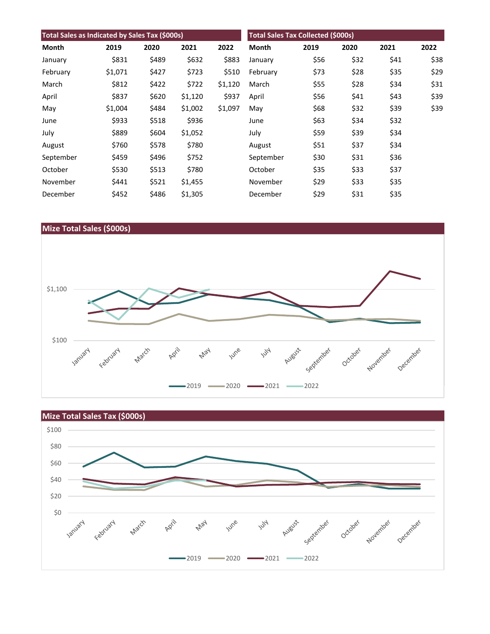| Total Sales as Indicated by Sales Tax (\$000s) |         |       |         |         | <b>Total Sales Tax Collected (\$000s)</b> |      |      |      |      |
|------------------------------------------------|---------|-------|---------|---------|-------------------------------------------|------|------|------|------|
| Month                                          | 2019    | 2020  | 2021    | 2022    | <b>Month</b>                              | 2019 | 2020 | 2021 | 2022 |
| January                                        | \$831   | \$489 | \$632   | \$883   | January                                   | \$56 | \$32 | \$41 | \$38 |
| February                                       | \$1,071 | \$427 | \$723   | \$510   | February                                  | \$73 | \$28 | \$35 | \$29 |
| March                                          | \$812   | \$422 | \$722   | \$1,120 | March                                     | \$55 | \$28 | \$34 | \$31 |
| April                                          | \$837   | \$620 | \$1,120 | \$937   | April                                     | \$56 | \$41 | \$43 | \$39 |
| May                                            | \$1,004 | \$484 | \$1,002 | \$1,097 | May                                       | \$68 | \$32 | \$39 | \$39 |
| June                                           | \$933   | \$518 | \$936   |         | June                                      | \$63 | \$34 | \$32 |      |
| July                                           | \$889   | \$604 | \$1,052 |         | July                                      | \$59 | \$39 | \$34 |      |
| August                                         | \$760   | \$578 | \$780   |         | August                                    | \$51 | \$37 | \$34 |      |
| September                                      | \$459   | \$496 | \$752   |         | September                                 | \$30 | \$31 | \$36 |      |
| October                                        | \$530   | \$513 | \$780   |         | October                                   | \$35 | \$33 | \$37 |      |
| November                                       | \$441   | \$521 | \$1,455 |         | November                                  | \$29 | \$33 | \$35 |      |
| December                                       | \$452   | \$486 | \$1,305 |         | December                                  | \$29 | \$31 | \$35 |      |



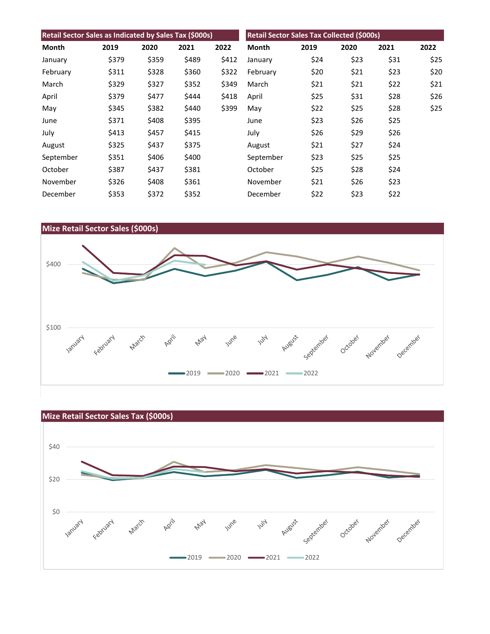| Retail Sector Sales as Indicated by Sales Tax (\$000s) |       |       |       | Retail Sector Sales Tax Collected (\$000s) |           |      |      |      |      |
|--------------------------------------------------------|-------|-------|-------|--------------------------------------------|-----------|------|------|------|------|
| Month                                                  | 2019  | 2020  | 2021  | 2022                                       | Month     | 2019 | 2020 | 2021 | 2022 |
| January                                                | \$379 | \$359 | \$489 | \$412                                      | January   | \$24 | \$23 | \$31 | \$25 |
| February                                               | \$311 | \$328 | \$360 | \$322                                      | February  | \$20 | \$21 | \$23 | \$20 |
| March                                                  | \$329 | \$327 | \$352 | \$349                                      | March     | \$21 | \$21 | \$22 | \$21 |
| April                                                  | \$379 | \$477 | \$444 | \$418                                      | April     | \$25 | \$31 | \$28 | \$26 |
| May                                                    | \$345 | \$382 | \$440 | \$399                                      | May       | \$22 | \$25 | \$28 | \$25 |
| June                                                   | \$371 | \$408 | \$395 |                                            | June      | \$23 | \$26 | \$25 |      |
| July                                                   | \$413 | \$457 | \$415 |                                            | July      | \$26 | \$29 | \$26 |      |
| August                                                 | \$325 | \$437 | \$375 |                                            | August    | \$21 | \$27 | \$24 |      |
| September                                              | \$351 | \$406 | \$400 |                                            | September | \$23 | \$25 | \$25 |      |
| October                                                | \$387 | \$437 | \$381 |                                            | October   | \$25 | \$28 | \$24 |      |
| November                                               | \$326 | \$408 | \$361 |                                            | November  | \$21 | \$26 | \$23 |      |
| December                                               | \$353 | \$372 | \$352 |                                            | December  | \$22 | \$23 | \$22 |      |



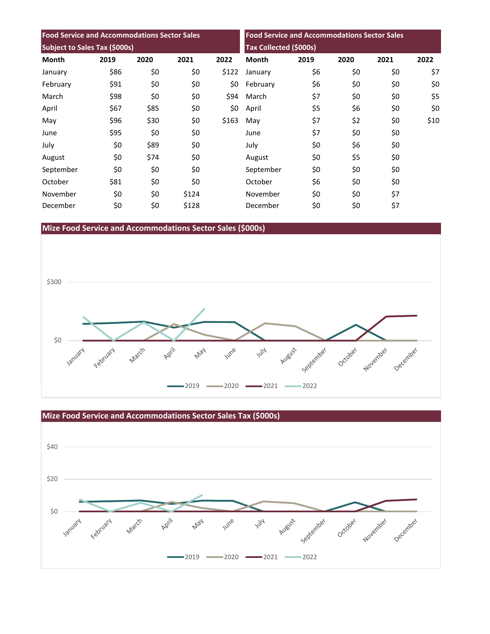| <b>Food Service and Accommodations Sector Sales</b> |      |      |       | <b>Food Service and Accommodations Sector Sales</b> |              |                        |      |      |      |  |
|-----------------------------------------------------|------|------|-------|-----------------------------------------------------|--------------|------------------------|------|------|------|--|
| Subject to Sales Tax (\$000s)                       |      |      |       |                                                     |              | Tax Collected (\$000s) |      |      |      |  |
| <b>Month</b>                                        | 2019 | 2020 | 2021  | 2022                                                | <b>Month</b> | 2019                   | 2020 | 2021 | 2022 |  |
| January                                             | \$86 | \$0  | \$0   | \$122                                               | January      | \$6                    | \$0  | \$0  | \$7  |  |
| February                                            | \$91 | \$0  | \$0   | \$0                                                 | February     | \$6                    | \$0  | \$0  | \$0  |  |
| March                                               | \$98 | \$0  | \$0   | \$94                                                | March        | \$7                    | \$0  | \$0  | \$5  |  |
| April                                               | \$67 | \$85 | \$0   | \$0                                                 | April        | \$5                    | \$6  | \$0  | \$0  |  |
| May                                                 | \$96 | \$30 | \$0   | \$163                                               | May          | \$7                    | \$2  | \$0  | \$10 |  |
| June                                                | \$95 | \$0  | \$0   |                                                     | June         | \$7                    | \$0  | \$0  |      |  |
| July                                                | \$0  | \$89 | \$0   |                                                     | July         | \$0                    | \$6  | \$0  |      |  |
| August                                              | \$0  | \$74 | \$0   |                                                     | August       | \$0                    | \$5  | \$0  |      |  |
| September                                           | \$0  | \$0  | \$0   |                                                     | September    | \$0                    | \$0  | \$0  |      |  |
| October                                             | \$81 | \$0  | \$0   |                                                     | October      | \$6                    | \$0  | \$0  |      |  |
| November                                            | \$0  | \$0  | \$124 |                                                     | November     | \$0                    | \$0  | \$7  |      |  |
| December                                            | \$0  | \$0  | \$128 |                                                     | December     | \$0                    | \$0  | \$7  |      |  |

# **Mize Food Service and Accommodations Sector Sales (\$000s)**



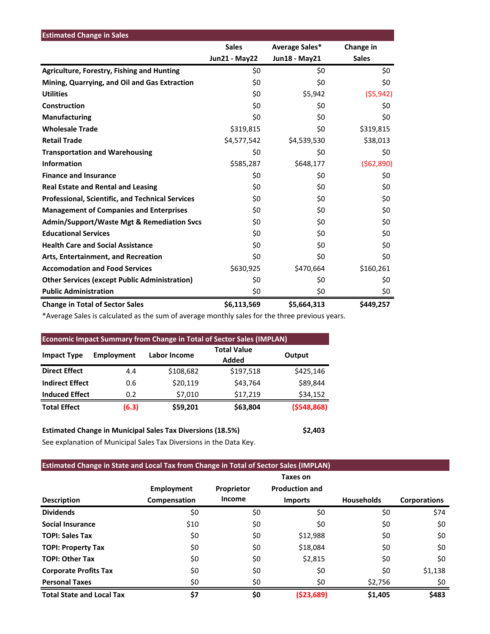| <b>Estimated Change in Sales</b>                        |                      |                |              |
|---------------------------------------------------------|----------------------|----------------|--------------|
|                                                         | <b>Sales</b>         | Average Sales* | Change in    |
|                                                         | <b>Jun21 - May22</b> | Jun18 - May21  | <b>Sales</b> |
| <b>Agriculture, Forestry, Fishing and Hunting</b>       | \$0                  | \$0            | \$0          |
| Mining, Quarrying, and Oil and Gas Extraction           | \$0                  | \$0            | \$0          |
| <b>Utilities</b>                                        | \$0                  | \$5,942        | (55, 942)    |
| Construction                                            | \$0                  | \$0            | \$0          |
| Manufacturing                                           | \$0                  | \$0            | \$0          |
| <b>Wholesale Trade</b>                                  | \$319,815            | \$0            | \$319,815    |
| <b>Retail Trade</b>                                     | \$4,577,542          | \$4,539,530    | \$38,013     |
| <b>Transportation and Warehousing</b>                   | \$0                  | \$0            | \$0          |
| <b>Information</b>                                      | \$585,287            | \$648,177      | ( \$62, 890) |
| <b>Finance and Insurance</b>                            | \$0                  | \$0            | \$0          |
| <b>Real Estate and Rental and Leasing</b>               | \$0                  | \$0            | \$0          |
| <b>Professional, Scientific, and Technical Services</b> | \$0                  | \$0            | \$0          |
| <b>Management of Companies and Enterprises</b>          | \$0                  | \$0            | \$0          |
| <b>Admin/Support/Waste Mgt &amp; Remediation Svcs</b>   | \$0                  | \$0            | \$0          |
| <b>Educational Services</b>                             | \$0                  | \$0            | \$0          |
| <b>Health Care and Social Assistance</b>                | \$0                  | \$0            | \$0          |
| Arts, Entertainment, and Recreation                     | \$0                  | \$0            | \$0          |
| <b>Accomodation and Food Services</b>                   | \$630,925            | \$470,664      | \$160,261    |
| <b>Other Services (except Public Administration)</b>    | \$0                  | \$0            | \$0          |
| <b>Public Administration</b>                            | \$0                  | \$0            | \$0          |
| <b>Change in Total of Sector Sales</b>                  | \$6,113,569          | \$5,664,313    | \$449,257    |

\*Average Sales is calculated as the sum of average monthly sales for the three previous years.

| <b>Economic Impact Summary from Change in Total of Sector Sales (IMPLAN)</b> |                   |                     |                             |            |  |  |  |  |
|------------------------------------------------------------------------------|-------------------|---------------------|-----------------------------|------------|--|--|--|--|
| <b>Impact Type</b>                                                           | <b>Employment</b> | <b>Labor Income</b> | <b>Total Value</b><br>Added | Output     |  |  |  |  |
| <b>Direct Effect</b>                                                         | 4.4               | \$108,682           | \$197,518                   | \$425,146  |  |  |  |  |
| <b>Indirect Effect</b>                                                       | 0.6               | \$20,119            | \$43,764                    | \$89,844   |  |  |  |  |
| <b>Induced Effect</b>                                                        | 0.2               | \$7,010             | \$17,219                    | \$34,152   |  |  |  |  |
| <b>Total Effect</b>                                                          | (6.3)             | \$59,201            | \$63,804                    | (5548,868) |  |  |  |  |

**Estimated Change in Municipal Sales Tax Diversions (18.5%) \$2,403** See explanation of Municipal Sales Tax Diversions in the Data Key.

# **Estimated Change in State and Local Tax from Change in Total of Sector Sales (IMPLAN)**

|                                  |                   |               | Taxes on              |                   |                     |
|----------------------------------|-------------------|---------------|-----------------------|-------------------|---------------------|
|                                  | <b>Employment</b> | Proprietor    | <b>Production and</b> |                   |                     |
| <b>Description</b>               | Compensation      | <b>Income</b> | <b>Imports</b>        | <b>Households</b> | <b>Corporations</b> |
| <b>Dividends</b>                 | \$0               | \$0           | \$0                   | \$0               | \$74                |
| <b>Social Insurance</b>          | \$10              | \$0           | \$0                   | \$0               | \$0                 |
| <b>TOPI: Sales Tax</b>           | \$0               | \$0           | \$12,988              | \$0               | \$0                 |
| <b>TOPI: Property Tax</b>        | \$0               | \$0           | \$18,084              | \$0               | \$0                 |
| <b>TOPI: Other Tax</b>           | \$0               | \$0           | \$2,815               | \$0               | \$0                 |
| <b>Corporate Profits Tax</b>     | \$0               | \$0           | \$0                   | \$0               | \$1,138             |
| <b>Personal Taxes</b>            | \$0               | \$0           | \$0                   | \$2,756           | \$0                 |
| <b>Total State and Local Tax</b> | \$7               | \$0           | ( \$23,689)           | \$1,405           | \$483               |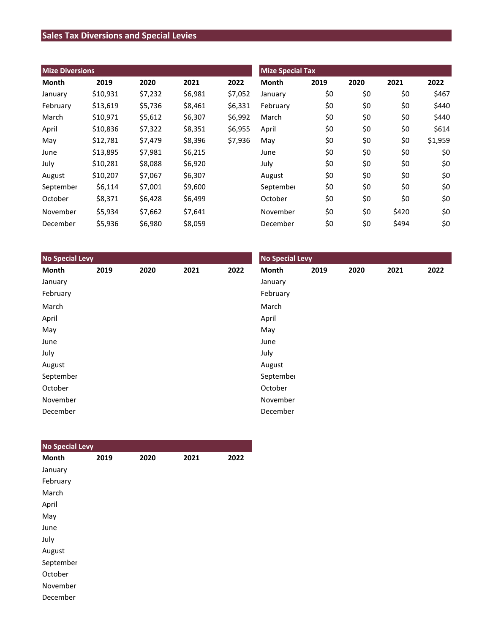# **Sales Tax Diversions and Special Levies**

| <b>Mize Diversions</b> |          |         |         |         | <b>Mize Special Tax</b> |      |      |       |         |
|------------------------|----------|---------|---------|---------|-------------------------|------|------|-------|---------|
| Month                  | 2019     | 2020    | 2021    | 2022    | <b>Month</b>            | 2019 | 2020 | 2021  | 2022    |
| January                | \$10,931 | \$7,232 | \$6,981 | \$7,052 | January                 | \$0  | \$0  | \$0   | \$467   |
| February               | \$13,619 | \$5,736 | \$8,461 | \$6,331 | February                | \$0  | \$0  | \$0   | \$440   |
| March                  | \$10,971 | \$5,612 | \$6,307 | \$6,992 | March                   | \$0  | \$0  | \$0   | \$440   |
| April                  | \$10,836 | \$7,322 | \$8,351 | \$6,955 | April                   | \$0  | \$0  | \$0   | \$614   |
| May                    | \$12,781 | \$7,479 | \$8,396 | \$7,936 | May                     | \$0  | \$0  | \$0   | \$1,959 |
| June                   | \$13,895 | \$7,981 | \$6,215 |         | June                    | \$0  | \$0  | \$0   | \$0     |
| July                   | \$10,281 | \$8,088 | \$6,920 |         | July                    | \$0  | \$0  | \$0   | \$0     |
| August                 | \$10,207 | \$7,067 | \$6,307 |         | August                  | \$0  | \$0  | \$0   | \$0     |
| September              | \$6,114  | \$7,001 | \$9,600 |         | September               | \$0  | \$0  | \$0   | \$0     |
| October                | \$8,371  | \$6,428 | \$6,499 |         | October                 | \$0  | \$0  | \$0   | \$0     |
| November               | \$5,934  | \$7,662 | \$7,641 |         | November                | \$0  | \$0  | \$420 | \$0     |
| December               | \$5,936  | \$6,980 | \$8,059 |         | December                | \$0  | \$0  | \$494 | \$0     |

| <b>No Special Levy</b> |      |      |      |      | <b>No Special Levy</b> |      |      |      |      |  |
|------------------------|------|------|------|------|------------------------|------|------|------|------|--|
| Month                  | 2019 | 2020 | 2021 | 2022 | Month                  | 2019 | 2020 | 2021 | 2022 |  |
| January                |      |      |      |      | January                |      |      |      |      |  |
| February               |      |      |      |      | February               |      |      |      |      |  |
| March                  |      |      |      |      | March                  |      |      |      |      |  |
| April                  |      |      |      |      | April                  |      |      |      |      |  |
| May                    |      |      |      |      | May                    |      |      |      |      |  |
| June                   |      |      |      |      | June                   |      |      |      |      |  |
| July                   |      |      |      |      | July                   |      |      |      |      |  |
| August                 |      |      |      |      | August                 |      |      |      |      |  |
| September              |      |      |      |      | September              |      |      |      |      |  |
| October                |      |      |      |      | October                |      |      |      |      |  |
| November               |      |      |      |      | November               |      |      |      |      |  |
| December               |      |      |      |      | December               |      |      |      |      |  |

| <b>No Special Levy</b> |      |      |      |      |
|------------------------|------|------|------|------|
| <b>Month</b>           | 2019 | 2020 | 2021 | 2022 |
| January                |      |      |      |      |
| February               |      |      |      |      |
| March                  |      |      |      |      |
| April                  |      |      |      |      |
| May                    |      |      |      |      |
| June                   |      |      |      |      |
| July                   |      |      |      |      |
| August                 |      |      |      |      |
| September              |      |      |      |      |
| October                |      |      |      |      |
| November               |      |      |      |      |
| December               |      |      |      |      |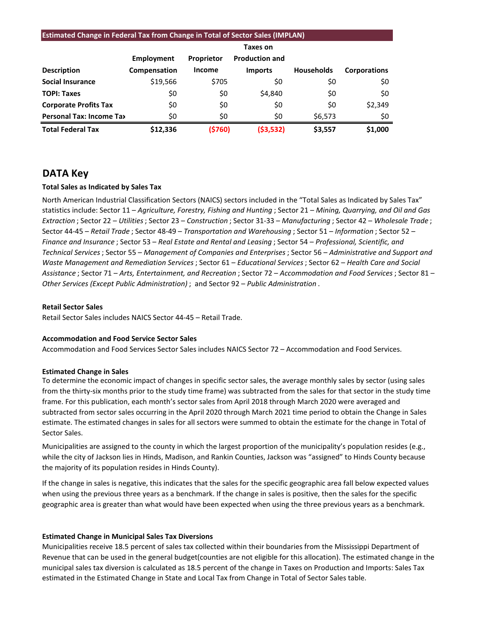#### **Estimated Change in Federal Tax from Change in Total of Sector Sales (IMPLAN)**

|                                 |              |            | Taxes on              |                   |                     |
|---------------------------------|--------------|------------|-----------------------|-------------------|---------------------|
|                                 | Employment   | Proprietor | <b>Production and</b> |                   |                     |
| <b>Description</b>              | Compensation | Income     | <b>Imports</b>        | <b>Households</b> | <b>Corporations</b> |
| <b>Social Insurance</b>         | \$19,566     | \$705      | \$0                   | \$0               | \$0                 |
| <b>TOPI: Taxes</b>              | \$0          | \$0        | \$4,840               | \$0               | \$0                 |
| <b>Corporate Profits Tax</b>    | \$0          | \$0        | \$0                   | \$0               | \$2,349             |
| <b>Personal Tax: Income Tax</b> | \$0          | \$0        | \$0                   | \$6,573           | \$0                 |
| <b>Total Federal Tax</b>        | \$12,336     | (5760)     | (53, 532)             | \$3,557           | \$1,000             |

### **DATA Key**

#### **Total Sales as Indicated by Sales Tax**

North American Industrial Classification Sectors (NAICS) sectors included in the "Total Sales as Indicated by Sales Tax" statistics include: Sector 11 – *Agriculture, Forestry, Fishing and Hunting* ; Sector 21 – *Mining, Quarrying, and Oil and Gas Extraction* ; Sector 22 – *Utilities*; Sector 23 – *Construction* ; Sector 31-33 – *Manufacturing* ; Sector 42 – *Wholesale Trade* ; Sector 44-45 – *Retail Trade* ; Sector 48-49 – *Transportation and Warehousing* ; Sector 51 – *Information* ; Sector 52 – *Finance and Insurance* ; Sector 53 – *Real Estate and Rental and Leasing* ; Sector 54 – *Professional, Scientific, and Technical Services*; Sector 55 – *Management of Companies and Enterprises* ; Sector 56 – *Administrative and Support and Waste Management and Remediation Services* ; Sector 61 – *Educational Services*; Sector 62 – *Health Care and Social Assistance* ; Sector 71 – *Arts, Entertainment, and Recreation* ; Sector 72 – *Accommodation and Food Services* ; Sector 81 – *Other Services (Except Public Administration)* ; and Sector 92 – *Public Administration* .

#### **Retail Sector Sales**

Retail Sector Sales includes NAICS Sector 44-45 – Retail Trade.

#### **Accommodation and Food Service Sector Sales**

Accommodation and Food Services Sector Sales includes NAICS Sector 72 – Accommodation and Food Services.

#### **Estimated Change in Sales**

To determine the economic impact of changes in specific sector sales, the average monthly sales by sector (using sales from the thirty-six months prior to the study time frame) was subtracted from the sales for that sector in the study time frame. For this publication, each month's sector sales from April 2018 through March 2020 were averaged and subtracted from sector sales occurring in the April 2020 through March 2021 time period to obtain the Change in Sales estimate. The estimated changes in sales for all sectors were summed to obtain the estimate for the change in Total of Sector Sales.

Municipalities are assigned to the county in which the largest proportion of the municipality's population resides (e.g., while the city of Jackson lies in Hinds, Madison, and Rankin Counties, Jackson was "assigned" to Hinds County because the majority of its population resides in Hinds County).

If the change in sales is negative, this indicates that the sales for the specific geographic area fall below expected values when using the previous three years as a benchmark. If the change in sales is positive, then the sales for the specific geographic area is greater than what would have been expected when using the three previous years as a benchmark.

#### **Estimated Change in Municipal Sales Tax Diversions**

Municipalities receive 18.5 percent of sales tax collected within their boundaries from the Mississippi Department of Revenue that can be used in the general budget(counties are not eligible for this allocation). The estimated change in the municipal sales tax diversion is calculated as 18.5 percent of the change in Taxes on Production and Imports: Sales Tax estimated in the Estimated Change in State and Local Tax from Change in Total of Sector Sales table.